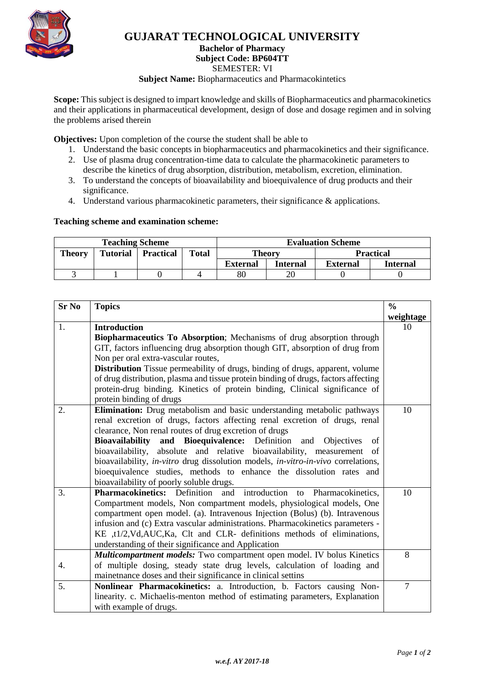

## **GUJARAT TECHNOLOGICAL UNIVERSITY**

**Bachelor of Pharmacy**

**Subject Code: [BP604TT](javascript:PopupCenter_upload()**

SEMESTER: VI

**Subject Name:** Biopharmaceutics and Pharmacokintetics

**Scope:** This subject is designed to impart knowledge and skills of Biopharmaceutics and pharmacokinetics and their applications in pharmaceutical development, design of dose and dosage regimen and in solving the problems arised therein

**Objectives:** Upon completion of the course the student shall be able to

- 1. Understand the basic concepts in biopharmaceutics and pharmacokinetics and their significance.
- 2. Use of plasma drug concentration-time data to calculate the pharmacokinetic parameters to describe the kinetics of drug absorption, distribution, metabolism, excretion, elimination.
- 3. To understand the concepts of bioavailability and bioequivalence of drug products and their significance.
- 4. Understand various pharmacokinetic parameters, their significance & applications.

### **Teaching scheme and examination scheme:**

| <b>Teaching Scheme</b> |                 |                  |              | <b>Evaluation Scheme</b> |          |                  |                 |
|------------------------|-----------------|------------------|--------------|--------------------------|----------|------------------|-----------------|
| <b>Theory</b>          | <b>Tutorial</b> | <b>Practical</b> | <b>Total</b> | <b>Theory</b>            |          | <b>Practical</b> |                 |
|                        |                 |                  |              | <b>External</b>          | Internal | <b>External</b>  | <b>Internal</b> |
|                        |                 |                  |              | 80                       |          |                  |                 |

| <b>Sr No</b> | <b>Topics</b>                                                                         |                |  |
|--------------|---------------------------------------------------------------------------------------|----------------|--|
|              |                                                                                       | weightage      |  |
| 1.           | <b>Introduction</b>                                                                   | 10             |  |
|              | Biopharmaceutics To Absorption; Mechanisms of drug absorption through                 |                |  |
|              | GIT, factors influencing drug absorption though GIT, absorption of drug from          |                |  |
|              | Non per oral extra-vascular routes,                                                   |                |  |
|              | Distribution Tissue permeability of drugs, binding of drugs, apparent, volume         |                |  |
|              | of drug distribution, plasma and tissue protein binding of drugs, factors affecting   |                |  |
|              | protein-drug binding. Kinetics of protein binding, Clinical significance of           |                |  |
|              | protein binding of drugs                                                              |                |  |
| 2.           | Elimination: Drug metabolism and basic understanding metabolic pathways               | 10             |  |
|              | renal excretion of drugs, factors affecting renal excretion of drugs, renal           |                |  |
|              | clearance, Non renal routes of drug excretion of drugs                                |                |  |
|              | Bioavailability and Bioequivalence:<br>Definition and<br><b>Objectives</b><br>of      |                |  |
|              | bioavailability, absolute and relative bioavailability, measurement<br>of             |                |  |
|              | bioavailability, in-vitro drug dissolution models, in-vitro-in-vivo correlations,     |                |  |
|              | bioequivalence studies, methods to enhance the dissolution rates and                  |                |  |
|              | bioavailability of poorly soluble drugs.                                              |                |  |
| 3.           | <b>Pharmacokinetics:</b> Definition<br>introduction<br>and<br>Pharmacokinetics,<br>to | 10             |  |
|              | Compartment models, Non compartment models, physiological models, One                 |                |  |
|              | compartment open model. (a). Intravenous Injection (Bolus) (b). Intravenous           |                |  |
|              | infusion and (c) Extra vascular administrations. Pharmacokinetics parameters -        |                |  |
|              | KE ,t1/2,Vd,AUC,Ka, Clt and CLR- definitions methods of eliminations,                 |                |  |
|              | understanding of their significance and Application                                   |                |  |
|              | Multicompartment models: Two compartment open model. IV bolus Kinetics                | 8              |  |
| 4.           | of multiple dosing, steady state drug levels, calculation of loading and              |                |  |
|              | mainetnance doses and their significance in clinical settins                          |                |  |
| 5.           | Nonlinear Pharmacokinetics: a. Introduction, b. Factors causing Non-                  | $\overline{7}$ |  |
|              | linearity. c. Michaelis-menton method of estimating parameters, Explanation           |                |  |
|              | with example of drugs.                                                                |                |  |